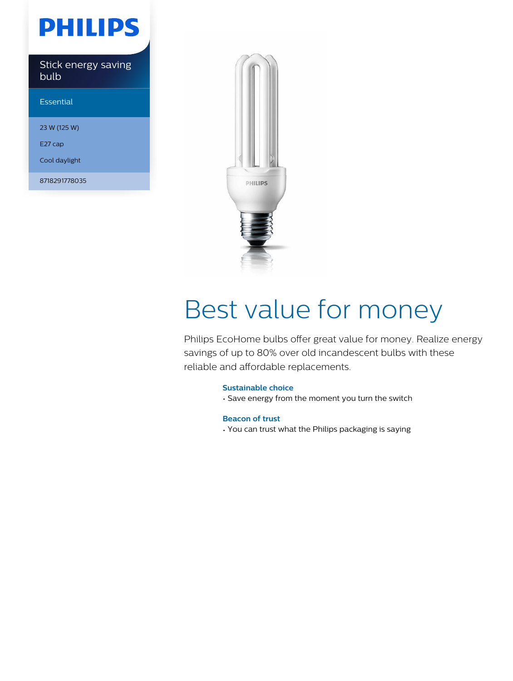## **PHILIPS**

Stick energy saving bulb

Essential

23 W (125 W)

E27 cap

Cool daylight

8718291778035



# Best value for money

Philips EcoHome bulbs offer great value for money. Realize energy savings of up to 80% over old incandescent bulbs with these reliable and affordable replacements.

### **Sustainable choice**

• Save energy from the moment you turn the switch

**Beacon of trust**

• You can trust what the Philips packaging is saying